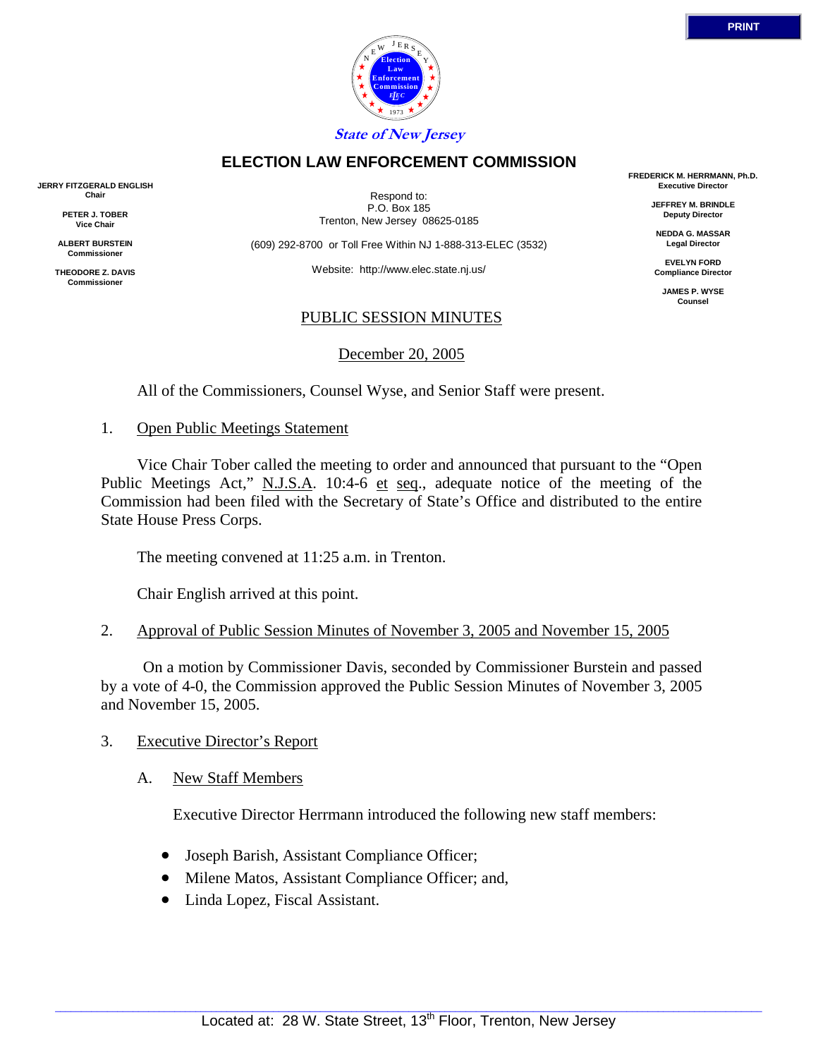

**State of New Jersey**

# **ELECTION LAW ENFORCEMENT COMMISSION**

**JERRY FITZGERALD ENGLISH Chair**

> **PETER J. TOBER Vice Chair**

**ALBERT BURSTEIN Commissioner** 

**THEODORE Z. DAVIS Commissione** 

Respond to: P.O. Box 185 Trenton, New Jersey 08625-0185

(609) 292-8700 or Toll Free Within NJ 1-888-313-ELEC (3532)

Website: http://www.elec.state.nj.us/

# PUBLIC SESSION MINUTES

December 20, 2005

All of the Commissioners, Counsel Wyse, and Senior Staff were present.

1. Open Public Meetings Statement

 Vice Chair Tober called the meeting to order and announced that pursuant to the "Open Public Meetings Act," N.J.S.A. 10:4-6 et seq., adequate notice of the meeting of the Commission had been filed with the Secretary of State's Office and distributed to the entire State House Press Corps.

The meeting convened at 11:25 a.m. in Trenton.

Chair English arrived at this point.

2. Approval of Public Session Minutes of November 3, 2005 and November 15, 2005

 On a motion by Commissioner Davis, seconded by Commissioner Burstein and passed by a vote of 4-0, the Commission approved the Public Session Minutes of November 3, 2005 and November 15, 2005.

# 3. Executive Director's Report

# A. New Staff Members

Executive Director Herrmann introduced the following new staff members:

- Joseph Barish, Assistant Compliance Officer;
- Milene Matos, Assistant Compliance Officer; and,
- Linda Lopez, Fiscal Assistant.

**FREDERICK M. HERRMANN, Ph.D. Executive Director**

> **JEFFREY M. BRINDLE Deputy Director**

**NEDDA G. MASSAR Legal Director**

**EVELYN FORD Compliance Director**

**JAMES P. WYSE Counsel**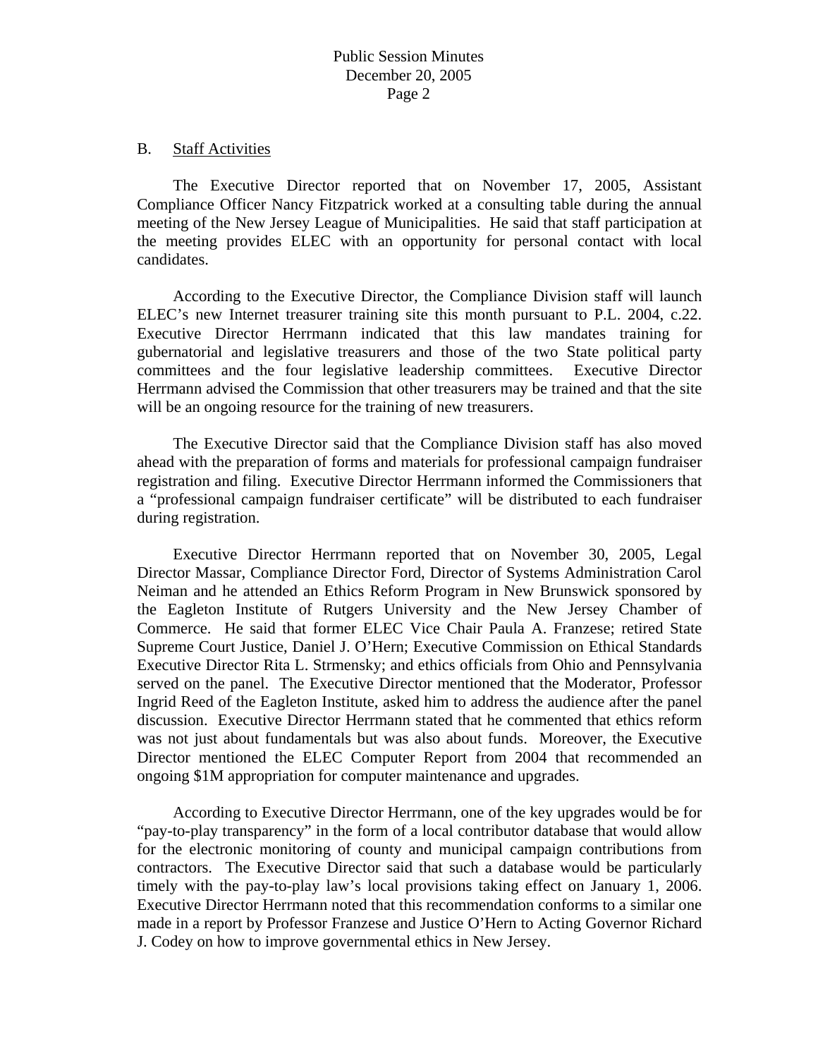### B. Staff Activities

 The Executive Director reported that on November 17, 2005, Assistant Compliance Officer Nancy Fitzpatrick worked at a consulting table during the annual meeting of the New Jersey League of Municipalities. He said that staff participation at the meeting provides ELEC with an opportunity for personal contact with local candidates.

 According to the Executive Director, the Compliance Division staff will launch ELEC's new Internet treasurer training site this month pursuant to P.L. 2004, c.22. Executive Director Herrmann indicated that this law mandates training for gubernatorial and legislative treasurers and those of the two State political party committees and the four legislative leadership committees. Executive Director Herrmann advised the Commission that other treasurers may be trained and that the site will be an ongoing resource for the training of new treasurers.

 The Executive Director said that the Compliance Division staff has also moved ahead with the preparation of forms and materials for professional campaign fundraiser registration and filing. Executive Director Herrmann informed the Commissioners that a "professional campaign fundraiser certificate" will be distributed to each fundraiser during registration.

 Executive Director Herrmann reported that on November 30, 2005, Legal Director Massar, Compliance Director Ford, Director of Systems Administration Carol Neiman and he attended an Ethics Reform Program in New Brunswick sponsored by the Eagleton Institute of Rutgers University and the New Jersey Chamber of Commerce. He said that former ELEC Vice Chair Paula A. Franzese; retired State Supreme Court Justice, Daniel J. O'Hern; Executive Commission on Ethical Standards Executive Director Rita L. Strmensky; and ethics officials from Ohio and Pennsylvania served on the panel. The Executive Director mentioned that the Moderator, Professor Ingrid Reed of the Eagleton Institute, asked him to address the audience after the panel discussion. Executive Director Herrmann stated that he commented that ethics reform was not just about fundamentals but was also about funds. Moreover, the Executive Director mentioned the ELEC Computer Report from 2004 that recommended an ongoing \$1M appropriation for computer maintenance and upgrades.

 According to Executive Director Herrmann, one of the key upgrades would be for "pay-to-play transparency" in the form of a local contributor database that would allow for the electronic monitoring of county and municipal campaign contributions from contractors. The Executive Director said that such a database would be particularly timely with the pay-to-play law's local provisions taking effect on January 1, 2006. Executive Director Herrmann noted that this recommendation conforms to a similar one made in a report by Professor Franzese and Justice O'Hern to Acting Governor Richard J. Codey on how to improve governmental ethics in New Jersey.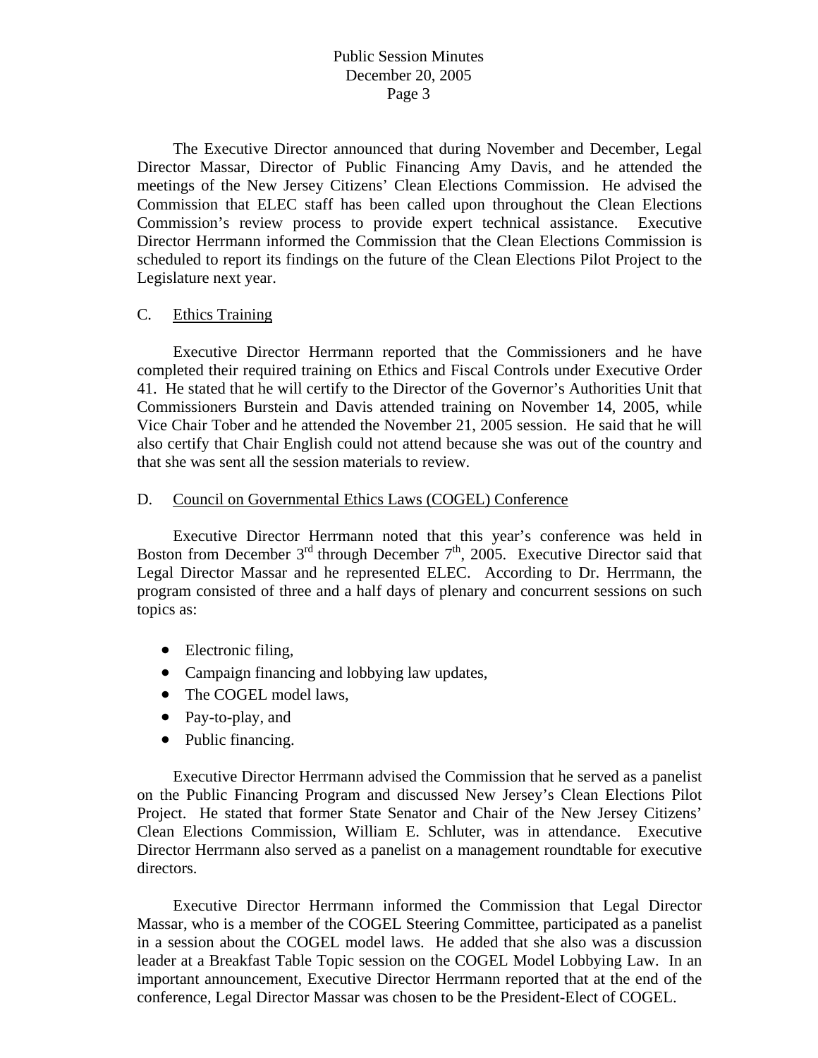The Executive Director announced that during November and December, Legal Director Massar, Director of Public Financing Amy Davis, and he attended the meetings of the New Jersey Citizens' Clean Elections Commission. He advised the Commission that ELEC staff has been called upon throughout the Clean Elections Commission's review process to provide expert technical assistance. Executive Director Herrmann informed the Commission that the Clean Elections Commission is scheduled to report its findings on the future of the Clean Elections Pilot Project to the Legislature next year.

### C. Ethics Training

 Executive Director Herrmann reported that the Commissioners and he have completed their required training on Ethics and Fiscal Controls under Executive Order 41. He stated that he will certify to the Director of the Governor's Authorities Unit that Commissioners Burstein and Davis attended training on November 14, 2005, while Vice Chair Tober and he attended the November 21, 2005 session. He said that he will also certify that Chair English could not attend because she was out of the country and that she was sent all the session materials to review.

### D. Council on Governmental Ethics Laws (COGEL) Conference

 Executive Director Herrmann noted that this year's conference was held in Boston from December  $3<sup>rd</sup>$  through December  $7<sup>th</sup>$ , 2005. Executive Director said that Legal Director Massar and he represented ELEC. According to Dr. Herrmann, the program consisted of three and a half days of plenary and concurrent sessions on such topics as:

- Electronic filing,
- Campaign financing and lobbying law updates,
- The COGEL model laws,
- Pay-to-play, and
- Public financing.

 Executive Director Herrmann advised the Commission that he served as a panelist on the Public Financing Program and discussed New Jersey's Clean Elections Pilot Project. He stated that former State Senator and Chair of the New Jersey Citizens' Clean Elections Commission, William E. Schluter, was in attendance. Executive Director Herrmann also served as a panelist on a management roundtable for executive directors.

 Executive Director Herrmann informed the Commission that Legal Director Massar, who is a member of the COGEL Steering Committee, participated as a panelist in a session about the COGEL model laws. He added that she also was a discussion leader at a Breakfast Table Topic session on the COGEL Model Lobbying Law. In an important announcement, Executive Director Herrmann reported that at the end of the conference, Legal Director Massar was chosen to be the President-Elect of COGEL.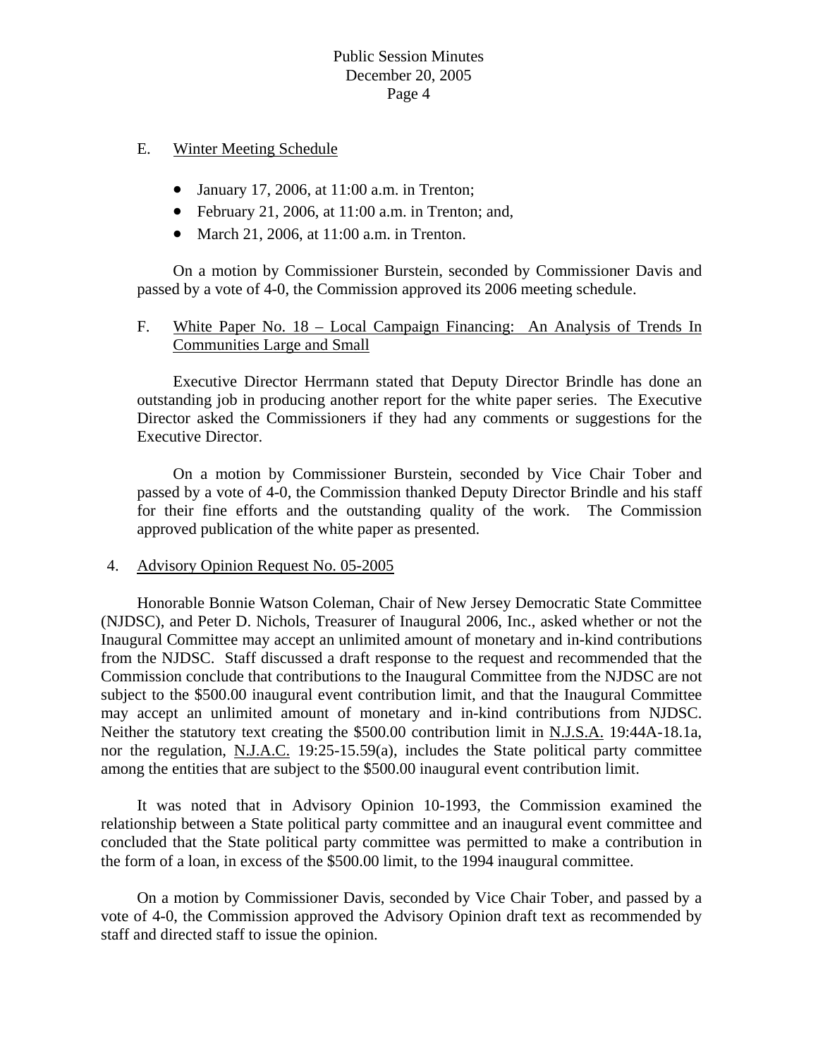# E. Winter Meeting Schedule

- January 17, 2006, at 11:00 a.m. in Trenton;
- February 21, 2006, at 11:00 a.m. in Trenton; and,
- March 21, 2006, at 11:00 a.m. in Trenton.

On a motion by Commissioner Burstein, seconded by Commissioner Davis and passed by a vote of 4-0, the Commission approved its 2006 meeting schedule.

# F. White Paper No. 18 – Local Campaign Financing: An Analysis of Trends In Communities Large and Small

 Executive Director Herrmann stated that Deputy Director Brindle has done an outstanding job in producing another report for the white paper series. The Executive Director asked the Commissioners if they had any comments or suggestions for the Executive Director.

 On a motion by Commissioner Burstein, seconded by Vice Chair Tober and passed by a vote of 4-0, the Commission thanked Deputy Director Brindle and his staff for their fine efforts and the outstanding quality of the work. The Commission approved publication of the white paper as presented.

# 4. Advisory Opinion Request No. 05-2005

 Honorable Bonnie Watson Coleman, Chair of New Jersey Democratic State Committee (NJDSC), and Peter D. Nichols, Treasurer of Inaugural 2006, Inc., asked whether or not the Inaugural Committee may accept an unlimited amount of monetary and in-kind contributions from the NJDSC. Staff discussed a draft response to the request and recommended that the Commission conclude that contributions to the Inaugural Committee from the NJDSC are not subject to the \$500.00 inaugural event contribution limit, and that the Inaugural Committee may accept an unlimited amount of monetary and in-kind contributions from NJDSC. Neither the statutory text creating the \$500.00 contribution limit in N.J.S.A. 19:44A-18.1a, nor the regulation, N.J.A.C. 19:25-15.59(a), includes the State political party committee among the entities that are subject to the \$500.00 inaugural event contribution limit.

 It was noted that in Advisory Opinion 10-1993, the Commission examined the relationship between a State political party committee and an inaugural event committee and concluded that the State political party committee was permitted to make a contribution in the form of a loan, in excess of the \$500.00 limit, to the 1994 inaugural committee.

 On a motion by Commissioner Davis, seconded by Vice Chair Tober, and passed by a vote of 4-0, the Commission approved the Advisory Opinion draft text as recommended by staff and directed staff to issue the opinion.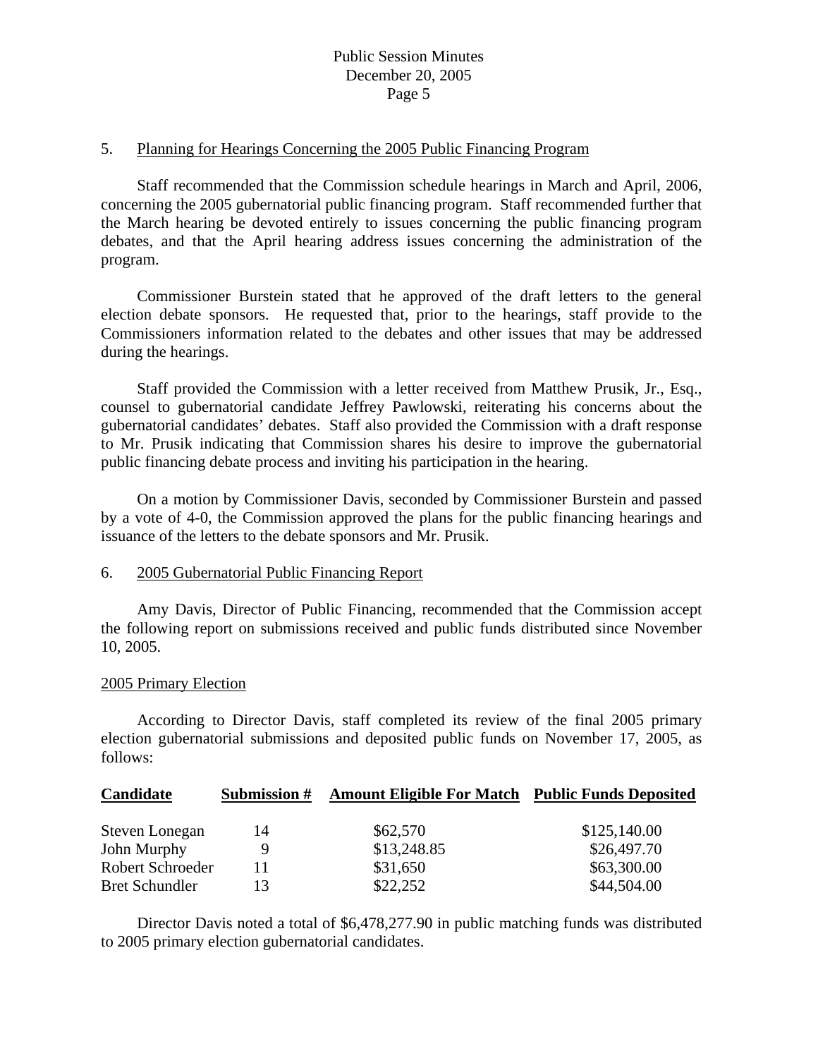### 5. Planning for Hearings Concerning the 2005 Public Financing Program

 Staff recommended that the Commission schedule hearings in March and April, 2006, concerning the 2005 gubernatorial public financing program. Staff recommended further that the March hearing be devoted entirely to issues concerning the public financing program debates, and that the April hearing address issues concerning the administration of the program.

 Commissioner Burstein stated that he approved of the draft letters to the general election debate sponsors. He requested that, prior to the hearings, staff provide to the Commissioners information related to the debates and other issues that may be addressed during the hearings.

 Staff provided the Commission with a letter received from Matthew Prusik, Jr., Esq., counsel to gubernatorial candidate Jeffrey Pawlowski, reiterating his concerns about the gubernatorial candidates' debates. Staff also provided the Commission with a draft response to Mr. Prusik indicating that Commission shares his desire to improve the gubernatorial public financing debate process and inviting his participation in the hearing.

 On a motion by Commissioner Davis, seconded by Commissioner Burstein and passed by a vote of 4-0, the Commission approved the plans for the public financing hearings and issuance of the letters to the debate sponsors and Mr. Prusik.

### 6. 2005 Gubernatorial Public Financing Report

 Amy Davis, Director of Public Financing, recommended that the Commission accept the following report on submissions received and public funds distributed since November 10, 2005.

#### 2005 Primary Election

 According to Director Davis, staff completed its review of the final 2005 primary election gubernatorial submissions and deposited public funds on November 17, 2005, as follows:

| Candidate             | Submission # | <b>Amount Eligible For Match Public Funds Deposited</b> |              |
|-----------------------|--------------|---------------------------------------------------------|--------------|
| Steven Lonegan        | 14           | \$62,570                                                | \$125,140.00 |
| John Murphy           | 9            | \$13,248.85                                             | \$26,497.70  |
| Robert Schroeder      |              | \$31,650                                                | \$63,300.00  |
| <b>Bret Schundler</b> | 13           | \$22,252                                                | \$44,504.00  |

 Director Davis noted a total of \$6,478,277.90 in public matching funds was distributed to 2005 primary election gubernatorial candidates.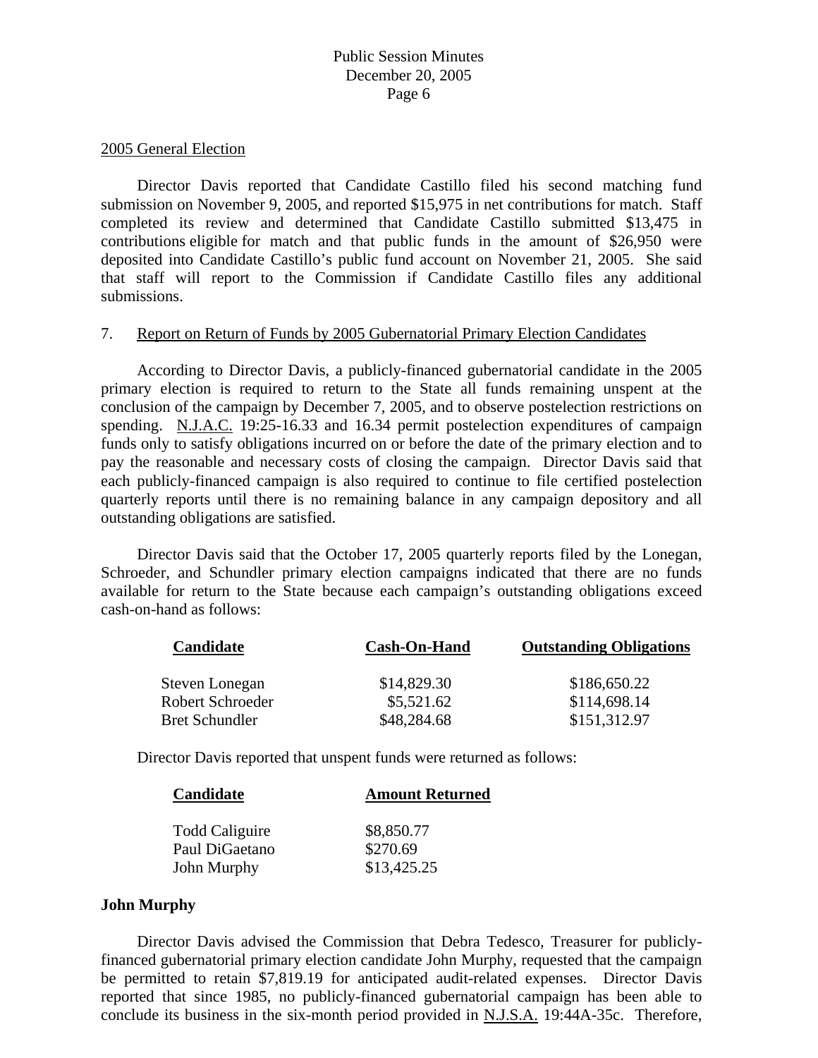### 2005 General Election

 Director Davis reported that Candidate Castillo filed his second matching fund submission on November 9, 2005, and reported \$15,975 in net contributions for match. Staff completed its review and determined that Candidate Castillo submitted \$13,475 in contributions eligible for match and that public funds in the amount of \$26,950 were deposited into Candidate Castillo's public fund account on November 21, 2005. She said that staff will report to the Commission if Candidate Castillo files any additional submissions.

### 7. Report on Return of Funds by 2005 Gubernatorial Primary Election Candidates

 According to Director Davis, a publicly-financed gubernatorial candidate in the 2005 primary election is required to return to the State all funds remaining unspent at the conclusion of the campaign by December 7, 2005, and to observe postelection restrictions on spending. N.J.A.C. 19:25-16.33 and 16.34 permit postelection expenditures of campaign funds only to satisfy obligations incurred on or before the date of the primary election and to pay the reasonable and necessary costs of closing the campaign. Director Davis said that each publicly-financed campaign is also required to continue to file certified postelection quarterly reports until there is no remaining balance in any campaign depository and all outstanding obligations are satisfied.

 Director Davis said that the October 17, 2005 quarterly reports filed by the Lonegan, Schroeder, and Schundler primary election campaigns indicated that there are no funds available for return to the State because each campaign's outstanding obligations exceed cash-on-hand as follows:

| Candidate             | Cash-On-Hand | <b>Outstanding Obligations</b> |
|-----------------------|--------------|--------------------------------|
| Steven Lonegan        | \$14,829.30  | \$186,650.22                   |
| Robert Schroeder      | \$5,521.62   | \$114,698.14                   |
| <b>Bret Schundler</b> | \$48,284.68  | \$151,312.97                   |

Director Davis reported that unspent funds were returned as follows:

| Candidate             | <b>Amount Returned</b> |
|-----------------------|------------------------|
| <b>Todd Caliguire</b> | \$8,850.77             |
| Paul DiGaetano        | \$270.69               |
| John Murphy           | \$13,425.25            |

### **John Murphy**

 Director Davis advised the Commission that Debra Tedesco, Treasurer for publiclyfinanced gubernatorial primary election candidate John Murphy, requested that the campaign be permitted to retain \$7,819.19 for anticipated audit-related expenses. Director Davis reported that since 1985, no publicly-financed gubernatorial campaign has been able to conclude its business in the six-month period provided in N.J.S.A. 19:44A-35c. Therefore,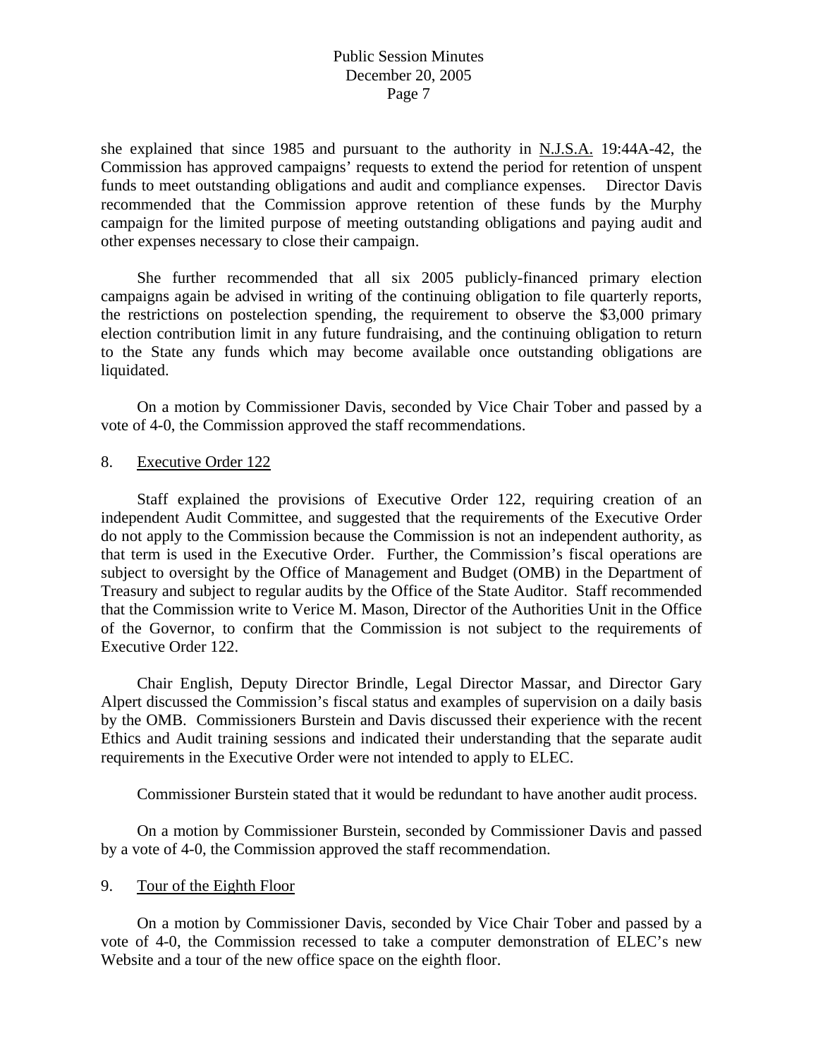she explained that since 1985 and pursuant to the authority in N.J.S.A. 19:44A-42, the Commission has approved campaigns' requests to extend the period for retention of unspent funds to meet outstanding obligations and audit and compliance expenses. Director Davis recommended that the Commission approve retention of these funds by the Murphy campaign for the limited purpose of meeting outstanding obligations and paying audit and other expenses necessary to close their campaign.

 She further recommended that all six 2005 publicly-financed primary election campaigns again be advised in writing of the continuing obligation to file quarterly reports, the restrictions on postelection spending, the requirement to observe the \$3,000 primary election contribution limit in any future fundraising, and the continuing obligation to return to the State any funds which may become available once outstanding obligations are liquidated.

 On a motion by Commissioner Davis, seconded by Vice Chair Tober and passed by a vote of 4-0, the Commission approved the staff recommendations.

### 8. Executive Order 122

 Staff explained the provisions of Executive Order 122, requiring creation of an independent Audit Committee, and suggested that the requirements of the Executive Order do not apply to the Commission because the Commission is not an independent authority, as that term is used in the Executive Order. Further, the Commission's fiscal operations are subject to oversight by the Office of Management and Budget (OMB) in the Department of Treasury and subject to regular audits by the Office of the State Auditor. Staff recommended that the Commission write to Verice M. Mason, Director of the Authorities Unit in the Office of the Governor, to confirm that the Commission is not subject to the requirements of Executive Order 122.

 Chair English, Deputy Director Brindle, Legal Director Massar, and Director Gary Alpert discussed the Commission's fiscal status and examples of supervision on a daily basis by the OMB. Commissioners Burstein and Davis discussed their experience with the recent Ethics and Audit training sessions and indicated their understanding that the separate audit requirements in the Executive Order were not intended to apply to ELEC.

Commissioner Burstein stated that it would be redundant to have another audit process.

 On a motion by Commissioner Burstein, seconded by Commissioner Davis and passed by a vote of 4-0, the Commission approved the staff recommendation.

# 9. Tour of the Eighth Floor

 On a motion by Commissioner Davis, seconded by Vice Chair Tober and passed by a vote of 4-0, the Commission recessed to take a computer demonstration of ELEC's new Website and a tour of the new office space on the eighth floor.